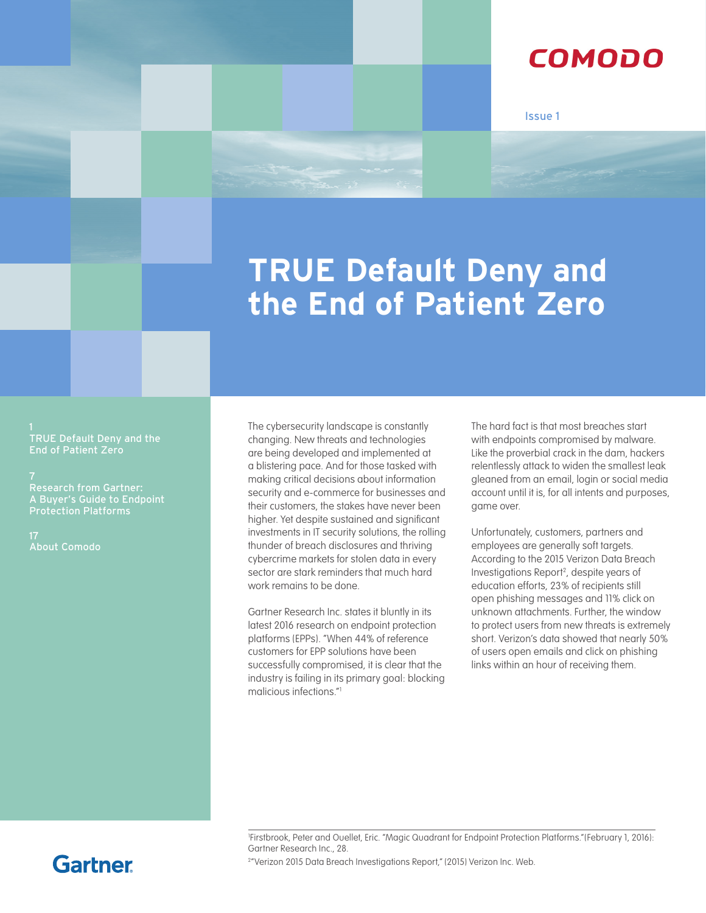### COMODO

Issue 1

# **TRUE Default Deny and the End of Patient Zero**

TRUE Default Deny and the

[A Buyer's Guide to Endpoint](#page-7-0)  [Protection Platforms](#page-7-0)

17 About Comodo The cybersecurity landscape is constantly changing. New threats and technologies are being developed and implemented at a blistering pace. And for those tasked with making critical decisions about information security and e-commerce for businesses and their customers, the stakes have never been higher. Yet despite sustained and significant investments in IT security solutions, the rolling thunder of breach disclosures and thriving cybercrime markets for stolen data in every sector are stark reminders that much hard work remains to be done.

Gartner Research Inc. states it bluntly in its latest 2016 research on endpoint protection platforms (EPPs). "When 44% of reference customers for EPP solutions have been successfully compromised, it is clear that the industry is failing in its primary goal: blocking malicious infections."1

The hard fact is that most breaches start with endpoints compromised by malware. Like the proverbial crack in the dam, hackers relentlessly attack to widen the smallest leak gleaned from an email, login or social media account until it is, for all intents and purposes, game over.

Unfortunately, customers, partners and employees are generally soft targets. According to the 2015 Verizon Data Breach Investigations Report2 , despite years of education efforts, 23% of recipients still open phishing messages and 11% click on unknown attachments. Further, the window to protect users from new threats is extremely short. Verizon's data showed that nearly 50% of users open emails and click on phishing links within an hour of receiving them.

1 Firstbrook, Peter and Ouellet, Eric. "Magic Quadrant for Endpoint Protection Platforms."(February 1, 2016): Gartner Research Inc., 28.

<sup>2</sup>"Verizon 2015 Data Breach Investigations Report," (2015) Verizon Inc. Web.

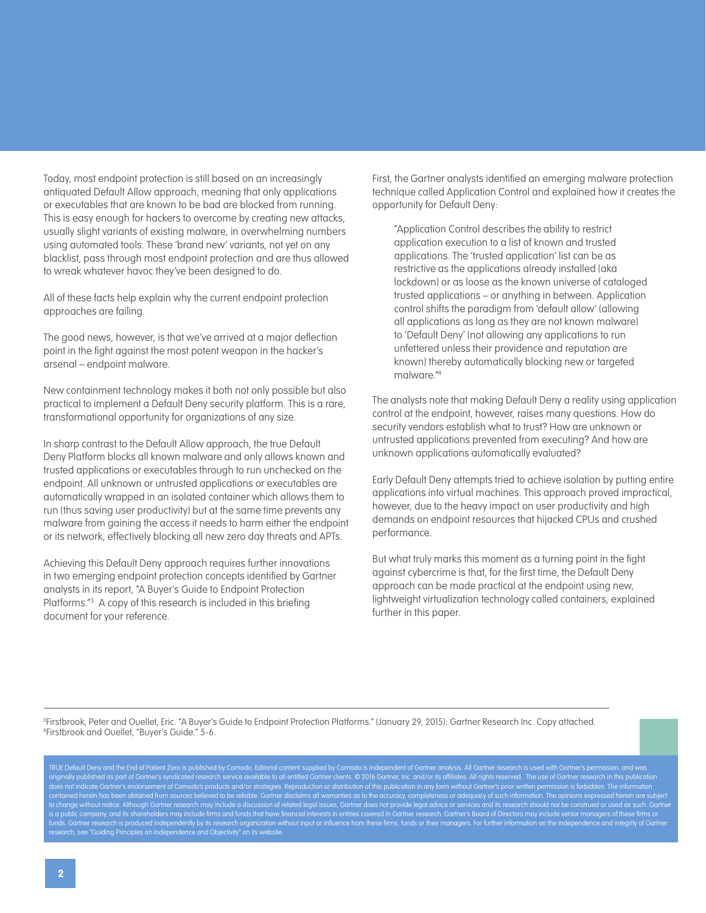Today, most endpoint protection is still based on an increasingly antiquated Default Allow approach, meaning that only applications or executables that are known to be bad are blocked from running. This is easy enough for hackers to overcome by creating new attacks, usually slight variants of existing malware, in overwhelming numbers using automated tools. These 'brand new' variants, not yet on any blacklist, pass through most endpoint protection and are thus allowed to wreak whatever havoc they've been designed to do.

All of these facts help explain why the current endpoint protection approaches are failing.

The good news, however, is that we've arrived at a major deflection point in the fight against the most potent weapon in the hacker's arsenal – endpoint malware.

New containment technology makes it both not only possible but also practical to implement a Default Deny security platform. This is a rare, transformational opportunity for organizations of any size.

In sharp contrast to the Default Allow approach, the true Default Deny Platform blocks all known malware and only allows known and trusted applications or executables through to run unchecked on the endpoint. All unknown or untrusted applications or executables are automatically wrapped in an isolated container which allows them to run (thus saving user productivity) but at the same time prevents any malware from gaining the access it needs to harm either the endpoint or its network, effectively blocking all new zero day threats and APTs.

Achieving this Default Deny approach requires further innovations in two emerging endpoint protection concepts identified by Gartner analysts in its report, "A Buyer's Guide to Endpoint Protection Platforms."3 A copy of this research is included in this briefing document for your reference.

First, the Gartner analysts identified an emerging malware protection technique called Application Control and explained how it creates the opportunity for Default Deny:

"Application Control describes the ability to restrict application execution to a list of known and trusted applications. The 'trusted application' list can be as restrictive as the applications already installed (aka lockdown) or as loose as the known universe of cataloged trusted applications – or anything in between. Application control shifts the paradigm from 'default allow' (allowing all applications as long as they are not known malware) to 'Default Deny' (not allowing any applications to run unfettered unless their providence and reputation are known) thereby automatically blocking new or targeted malware."4

The analysts note that making Default Deny a reality using application control at the endpoint, however, raises many questions. How do security vendors establish what to trust? How are unknown or untrusted applications prevented from executing? And how are unknown applications automatically evaluated?

Early Default Deny attempts tried to achieve isolation by putting entire applications into virtual machines. This approach proved impractical, however, due to the heavy impact on user productivity and high demands on endpoint resources that hijacked CPUs and crushed performance.

But what truly marks this moment as a turning point in the fight against cybercrime is that, for the first time, the Default Deny approach can be made practical at the endpoint using new, lightweight virtualization technology called containers, explained further in this paper.

3 Firstbrook, Peter and Ouellet, Eric. "A Buyer's Guide to Endpoint Protection Platforms." (January 29, 2015): Gartner Research Inc. Copy attached. 4 Firstbrook and Ouellet, "Buyer's Guide." 5-6.

TRUE Default Deny and the End of Patient Zero is published by Comodo. Editorial content supplied by Comodo is independent of Gartner analysis. All Gartner research is used with Gartner's permission, and was originally published as part of Gartner's syndicated research service available to all entitled Gartner clients. © 2016 Gartner, Inc. and/or its affiliates. All rights reserved. The use of Gartner research in this publicat does not indicate Gartner's endorsement of Comodo's products and/or strategies. Reproduction or distribution of this publication in any form without Gartner's prior written permission is forbidden. The information contained herein has been obtained from sources believed to be reliable. Gartner disclaims all warranties as to the accuracy, completeness or adequacy of such information. The opinions expressed herein are subject to change without notice. Although Gartner research may include a discussion of related legal issues, Gartner does not provide legal advice or services and its research should not be construed or used as such. Gartner is a public company, and its shareholders may include firms and funds that have financial interests in entities covered in Gartner research. Gartner's Board of Directors may include senior managers of these firms or research, see "[Guiding Principles on Independence and Objectivity](http://www.gartner.com/technology/about/ombudsman/omb_guide2.jsp)" on its website.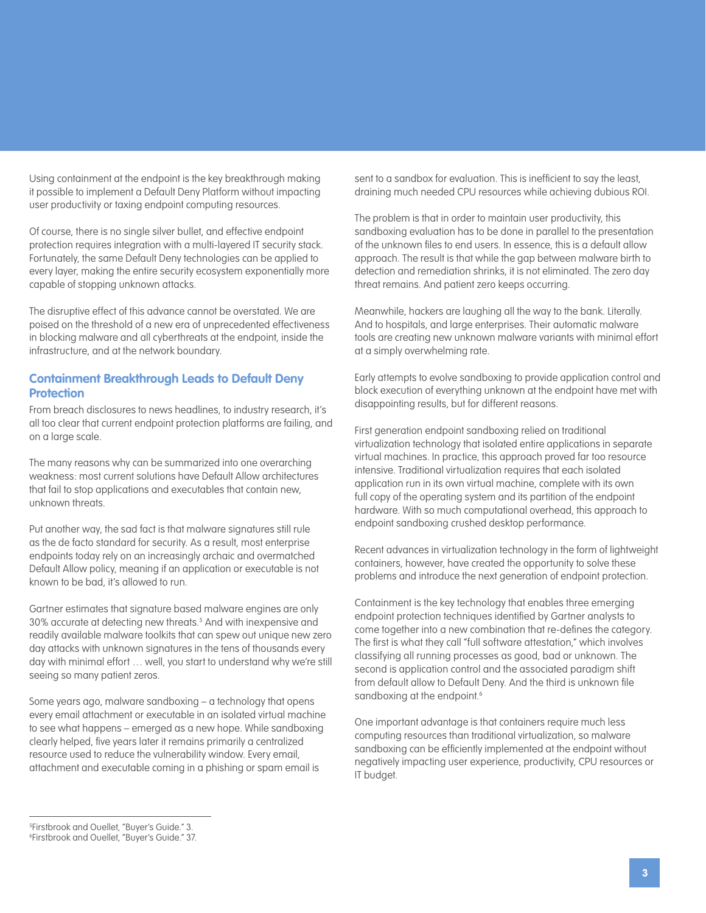Using containment at the endpoint is the key breakthrough making it possible to implement a Default Deny Platform without impacting user productivity or taxing endpoint computing resources.

Of course, there is no single silver bullet, and effective endpoint protection requires integration with a multi-layered IT security stack. Fortunately, the same Default Deny technologies can be applied to every layer, making the entire security ecosystem exponentially more capable of stopping unknown attacks.

The disruptive effect of this advance cannot be overstated. We are poised on the threshold of a new era of unprecedented effectiveness in blocking malware and all cyberthreats at the endpoint, inside the infrastructure, and at the network boundary.

#### **Containment Breakthrough Leads to Default Deny Protection**

From breach disclosures to news headlines, to industry research, it's all too clear that current endpoint protection platforms are failing, and on a large scale.

The many reasons why can be summarized into one overarching weakness: most current solutions have Default Allow architectures that fail to stop applications and executables that contain new, unknown threats.

Put another way, the sad fact is that malware signatures still rule as the de facto standard for security. As a result, most enterprise endpoints today rely on an increasingly archaic and overmatched Default Allow policy, meaning if an application or executable is not known to be bad, it's allowed to run.

Gartner estimates that signature based malware engines are only 30% accurate at detecting new threats.5 And with inexpensive and readily available malware toolkits that can spew out unique new zero day attacks with unknown signatures in the tens of thousands every day with minimal effort … well, you start to understand why we're still seeing so many patient zeros.

Some years ago, malware sandboxing – a technology that opens every email attachment or executable in an isolated virtual machine to see what happens – emerged as a new hope. While sandboxing clearly helped, five years later it remains primarily a centralized resource used to reduce the vulnerability window. Every email, attachment and executable coming in a phishing or spam email is

sent to a sandbox for evaluation. This is inefficient to say the least, draining much needed CPU resources while achieving dubious ROI.

The problem is that in order to maintain user productivity, this sandboxing evaluation has to be done in parallel to the presentation of the unknown files to end users. In essence, this is a default allow approach. The result is that while the gap between malware birth to detection and remediation shrinks, it is not eliminated. The zero day threat remains. And patient zero keeps occurring.

Meanwhile, hackers are laughing all the way to the bank. Literally. And to hospitals, and large enterprises. Their automatic malware tools are creating new unknown malware variants with minimal effort at a simply overwhelming rate.

Early attempts to evolve sandboxing to provide application control and block execution of everything unknown at the endpoint have met with disappointing results, but for different reasons.

First generation endpoint sandboxing relied on traditional virtualization technology that isolated entire applications in separate virtual machines. In practice, this approach proved far too resource intensive. Traditional virtualization requires that each isolated application run in its own virtual machine, complete with its own full copy of the operating system and its partition of the endpoint hardware. With so much computational overhead, this approach to endpoint sandboxing crushed desktop performance.

Recent advances in virtualization technology in the form of lightweight containers, however, have created the opportunity to solve these problems and introduce the next generation of endpoint protection.

Containment is the key technology that enables three emerging endpoint protection techniques identified by Gartner analysts to come together into a new combination that re-defines the category. The first is what they call "full software attestation," which involves classifying all running processes as good, bad or unknown. The second is application control and the associated paradigm shift from default allow to Default Deny. And the third is unknown file sandboxing at the endpoint.<sup>6</sup>

One important advantage is that containers require much less computing resources than traditional virtualization, so malware sandboxing can be efficiently implemented at the endpoint without negatively impacting user experience, productivity, CPU resources or IT budget.

<sup>5</sup> Firstbrook and Ouellet, "Buyer's Guide." 3. 6 Firstbrook and Ouellet, "Buyer's Guide." 37.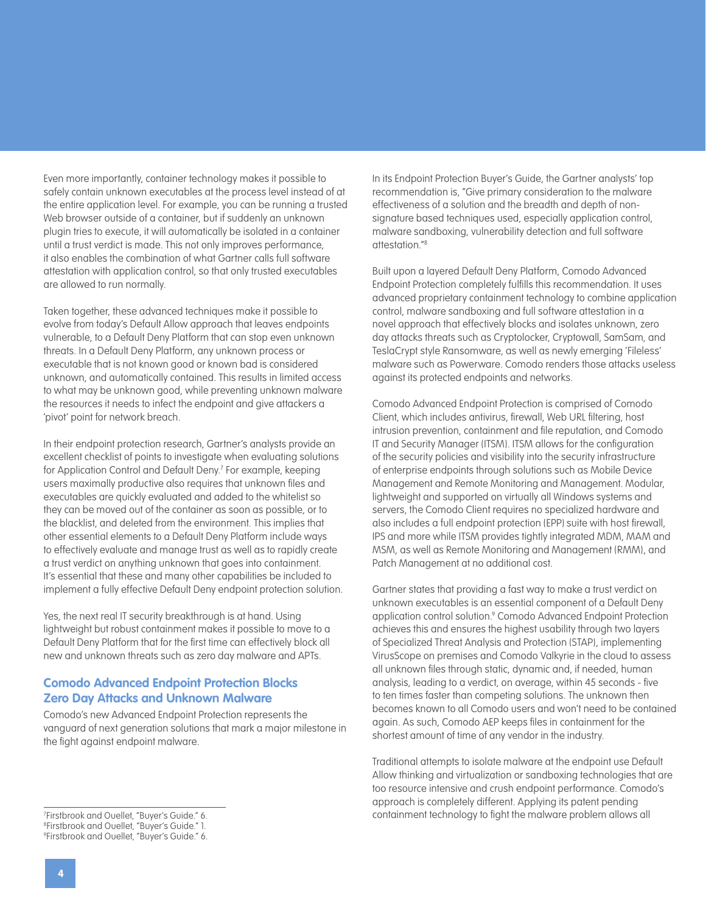Even more importantly, container technology makes it possible to safely contain unknown executables at the process level instead of at the entire application level. For example, you can be running a trusted Web browser outside of a container, but if suddenly an unknown plugin tries to execute, it will automatically be isolated in a container until a trust verdict is made. This not only improves performance, it also enables the combination of what Gartner calls full software attestation with application control, so that only trusted executables are allowed to run normally.

Taken together, these advanced techniques make it possible to evolve from today's Default Allow approach that leaves endpoints vulnerable, to a Default Deny Platform that can stop even unknown threats. In a Default Deny Platform, any unknown process or executable that is not known good or known bad is considered unknown, and automatically contained. This results in limited access to what may be unknown good, while preventing unknown malware the resources it needs to infect the endpoint and give attackers a 'pivot' point for network breach.

In their endpoint protection research, Gartner's analysts provide an excellent checklist of points to investigate when evaluating solutions for Application Control and Default Deny.7 For example, keeping users maximally productive also requires that unknown files and executables are quickly evaluated and added to the whitelist so they can be moved out of the container as soon as possible, or to the blacklist, and deleted from the environment. This implies that other essential elements to a Default Deny Platform include ways to effectively evaluate and manage trust as well as to rapidly create a trust verdict on anything unknown that goes into containment. It's essential that these and many other capabilities be included to implement a fully effective Default Deny endpoint protection solution.

Yes, the next real IT security breakthrough is at hand. Using lightweight but robust containment makes it possible to move to a Default Deny Platform that for the first time can effectively block all new and unknown threats such as zero day malware and APTs.

#### **Comodo Advanced Endpoint Protection Blocks Zero Day Attacks and Unknown Malware**

Comodo's new Advanced Endpoint Protection represents the vanguard of next generation solutions that mark a major milestone in the fight against endpoint malware.

Built upon a layered Default Deny Platform, Comodo Advanced Endpoint Protection completely fulfills this recommendation. It uses advanced proprietary containment technology to combine application control, malware sandboxing and full software attestation in a novel approach that effectively blocks and isolates unknown, zero day attacks threats such as Cryptolocker, Cryptowall, SamSam, and TeslaCrypt style Ransomware, as well as newly emerging 'Fileless' malware such as Powerware. Comodo renders those attacks useless against its protected endpoints and networks.

Comodo Advanced Endpoint Protection is comprised of Comodo Client, which includes antivirus, firewall, Web URL filtering, host intrusion prevention, containment and file reputation, and Comodo IT and Security Manager (ITSM). ITSM allows for the configuration of the security policies and visibility into the security infrastructure of enterprise endpoints through solutions such as Mobile Device Management and Remote Monitoring and Management. Modular, lightweight and supported on virtually all Windows systems and servers, the Comodo Client requires no specialized hardware and also includes a full endpoint protection (EPP) suite with host firewall, IPS and more while ITSM provides tightly integrated MDM, MAM and MSM, as well as Remote Monitoring and Management (RMM), and Patch Management at no additional cost.

Gartner states that providing a fast way to make a trust verdict on unknown executables is an essential component of a Default Deny application control solution.<sup>9</sup> Comodo Advanced Endpoint Protection achieves this and ensures the highest usability through two layers of Specialized Threat Analysis and Protection (STAP), implementing VirusScope on premises and Comodo Valkyrie in the cloud to assess all unknown files through static, dynamic and, if needed, human analysis, leading to a verdict, on average, within 45 seconds - five to ten times faster than competing solutions. The unknown then becomes known to all Comodo users and won't need to be contained again. As such, Comodo AEP keeps files in containment for the shortest amount of time of any vendor in the industry.

Traditional attempts to isolate malware at the endpoint use Default Allow thinking and virtualization or sandboxing technologies that are too resource intensive and crush endpoint performance. Comodo's approach is completely different. Applying its patent pending containment technology to fight the malware problem allows all 7

In its Endpoint Protection Buyer's Guide, the Gartner analysts' top recommendation is, "Give primary consideration to the malware effectiveness of a solution and the breadth and depth of nonsignature based techniques used, especially application control, malware sandboxing, vulnerability detection and full software attestation<sup>"8</sup>

Firstbrook and Ouellet, "Buyer's Guide." 6. 8 Firstbrook and Ouellet, "Buyer's Guide." 1. 9 Firstbrook and Ouellet, "Buyer's Guide." 6.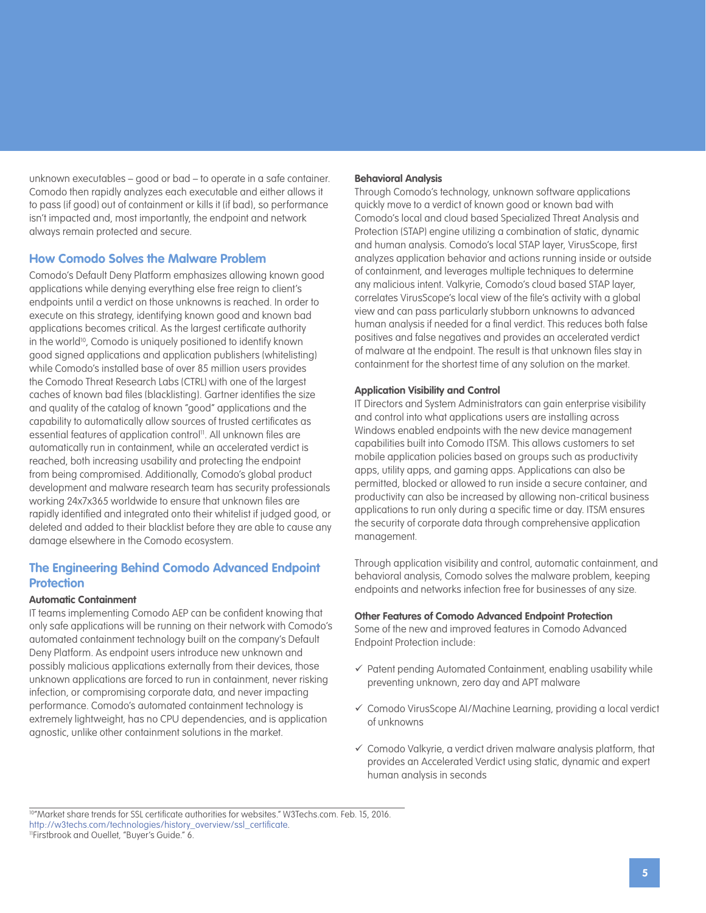unknown executables – good or bad – to operate in a safe container. Comodo then rapidly analyzes each executable and either allows it to pass (if good) out of containment or kills it (if bad), so performance isn't impacted and, most importantly, the endpoint and network always remain protected and secure.

#### **How Comodo Solves the Malware Problem**

Comodo's Default Deny Platform emphasizes allowing known good applications while denying everything else free reign to client's endpoints until a verdict on those unknowns is reached. In order to execute on this strategy, identifying known good and known bad applications becomes critical. As the largest certificate authority in the world<sup>10</sup>, Comodo is uniquely positioned to identify known good signed applications and application publishers (whitelisting) while Comodo's installed base of over 85 million users provides the Comodo Threat Research Labs (CTRL) with one of the largest caches of known bad files (blacklisting). Gartner identifies the size and quality of the catalog of known "good" applications and the capability to automatically allow sources of trusted certificates as essential features of application control<sup>11</sup>. All unknown files are automatically run in containment, while an accelerated verdict is reached, both increasing usability and protecting the endpoint from being compromised. Additionally, Comodo's global product development and malware research team has security professionals working 24x7x365 worldwide to ensure that unknown files are rapidly identified and integrated onto their whitelist if judged good, or deleted and added to their blacklist before they are able to cause any damage elsewhere in the Comodo ecosystem.

### **The Engineering Behind Comodo Advanced Endpoint Protection**

#### **Automatic Containment**

IT teams implementing Comodo AEP can be confident knowing that only safe applications will be running on their network with Comodo's automated containment technology built on the company's Default Deny Platform. As endpoint users introduce new unknown and possibly malicious applications externally from their devices, those unknown applications are forced to run in containment, never risking infection, or compromising corporate data, and never impacting performance. Comodo's automated containment technology is extremely lightweight, has no CPU dependencies, and is application agnostic, unlike other containment solutions in the market.

#### **Behavioral Analysis**

Through Comodo's technology, unknown software applications quickly move to a verdict of known good or known bad with Comodo's local and cloud based Specialized Threat Analysis and Protection (STAP) engine utilizing a combination of static, dynamic and human analysis. Comodo's local STAP layer, VirusScope, first analyzes application behavior and actions running inside or outside of containment, and leverages multiple techniques to determine any malicious intent. Valkyrie, Comodo's cloud based STAP layer, correlates VirusScope's local view of the file's activity with a global view and can pass particularly stubborn unknowns to advanced human analysis if needed for a final verdict. This reduces both false positives and false negatives and provides an accelerated verdict of malware at the endpoint. The result is that unknown files stay in containment for the shortest time of any solution on the market.

#### **Application Visibility and Control**

IT Directors and System Administrators can gain enterprise visibility and control into what applications users are installing across Windows enabled endpoints with the new device management capabilities built into Comodo ITSM. This allows customers to set mobile application policies based on groups such as productivity apps, utility apps, and gaming apps. Applications can also be permitted, blocked or allowed to run inside a secure container, and productivity can also be increased by allowing non-critical business applications to run only during a specific time or day. ITSM ensures the security of corporate data through comprehensive application management.

Through application visibility and control, automatic containment, and behavioral analysis, Comodo solves the malware problem, keeping endpoints and networks infection free for businesses of any size.

#### **Other Features of Comodo Advanced Endpoint Protection**

Some of the new and improved features in Comodo Advanced Endpoint Protection include:

- $\checkmark$  Patent pending Automated Containment, enabling usability while preventing unknown, zero day and APT malware
- Comodo VirusScope AI/Machine Learning, providing a local verdict of unknowns
- $\checkmark$  Comodo Valkyrie, a verdict driven malware analysis platform, that provides an Accelerated Verdict using static, dynamic and expert human analysis in seconds

10"Market share trends for SSL certificate authorities for websites." W3Techs.com. Feb. 15, 2016. [http://w3techs.com/technologies/history\\_overview/ssl\\_certificate](http://w3techs.com/technologies/history_overview/ssl_certificate). 11Firstbrook and Ouellet, "Buyer's Guide." 6.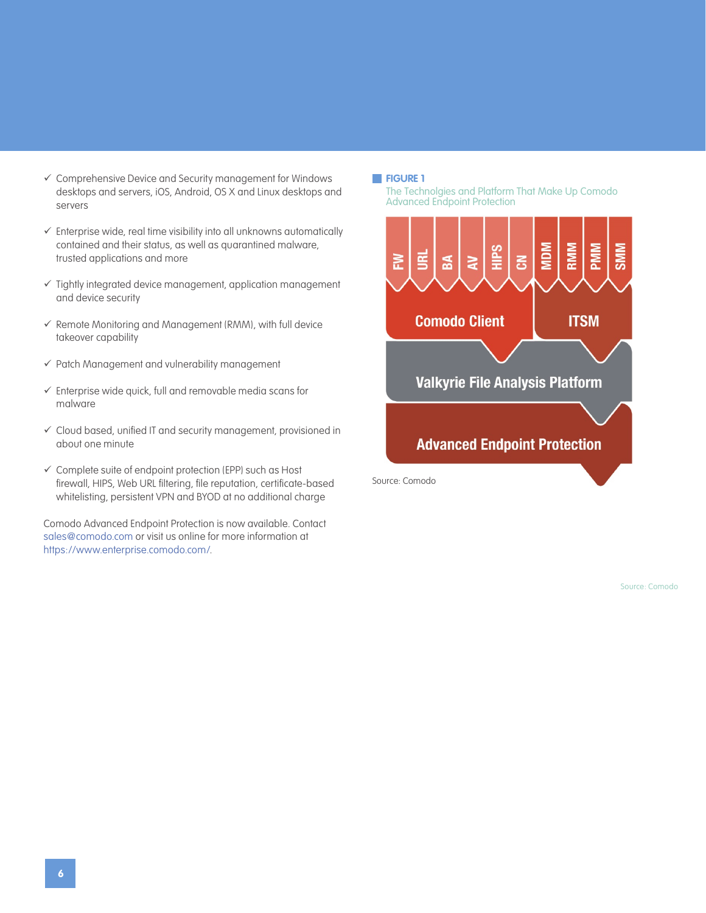- Comprehensive Device and Security management for Windows desktops and servers, iOS, Android, OS X and Linux desktops and servers
- $\checkmark$  Enterprise wide, real time visibility into all unknowns automatically contained and their status, as well as quarantined malware, trusted applications and more
- $\checkmark$  Tightly integrated device management, application management and device security
- $\checkmark$  Remote Monitoring and Management (RMM), with full device takeover capability
- $\checkmark$  Patch Management and vulnerability management
- $\checkmark$  Enterprise wide quick, full and removable media scans for malware
- Cloud based, unified IT and security management, provisioned in about one minute
- $\checkmark$  Complete suite of endpoint protection (EPP) such as Host firewall, HIPS, Web URL filtering, file reputation, certificate-based whitelisting, persistent VPN and BYOD at no additional charge

Comodo Advanced Endpoint Protection is now available. Contact [sales@comodo.com](mailto:sales@comodo.com) or visit us online for more information at [https://www.enterprise.comodo.com/.](https://www.enterprise.comodo.com/)

#### **FIGURE 1**

The Technolgies and Platform That Make Up Comodo Advanced Endpoint Protection

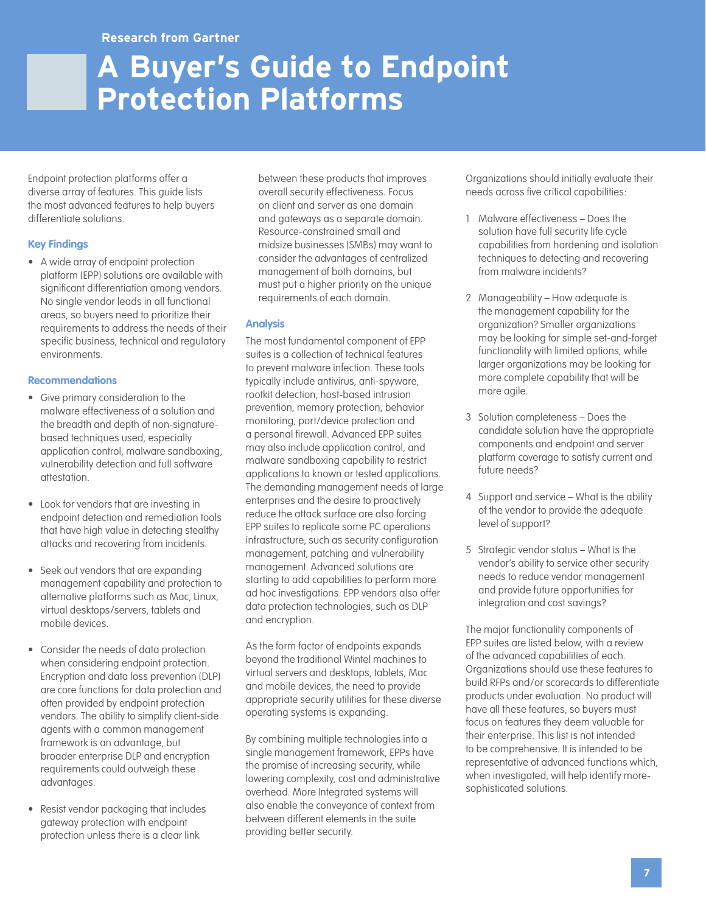## **A Buyer's Guide to Endpoint Protection Platforms**

Endpoint protection platforms offer a diverse array of features. This guide lists the most advanced features to help buyers differentiate solutions.

#### **Key Findings**

• A wide array of endpoint protection platform (EPP) solutions are available with significant differentiation among vendors. No single vendor leads in all functional areas, so buyers need to prioritize their requirements to address the needs of their specific business, technical and regulatory environments.

#### **Recommendations**

- Give primary consideration to the malware effectiveness of a solution and the breadth and depth of non-signaturebased techniques used, especially application control, malware sandboxing, vulnerability detection and full software attestation.
- Look for vendors that are investing in endpoint detection and remediation tools that have high value in detecting stealthy attacks and recovering from incidents.
- Seek out vendors that are expanding management capability and protection to alternative platforms such as Mac, Linux, virtual desktops/servers, tablets and mobile devices.
- Consider the needs of data protection when considering endpoint protection. Encryption and data loss prevention (DLP) are core functions for data protection and often provided by endpoint protection vendors. The ability to simplify client-side agents with a common management framework is an advantage, but broader enterprise DLP and encryption requirements could outweigh these advantages.
- Resist vendor packaging that includes gateway protection with endpoint protection unless there is a clear link

between these products that improves overall security effectiveness. Focus on client and server as one domain and gateways as a separate domain. Resource-constrained small and midsize businesses (SMBs) may want to consider the advantages of centralized management of both domains, but must put a higher priority on the unique requirements of each domain.

#### **Analysis**

The most fundamental component of EPP suites is a collection of technical features to prevent malware infection. These tools typically include antivirus, anti-spyware, rootkit detection, host-based intrusion prevention, memory protection, behavior monitoring, port/device protection and a personal firewall. Advanced EPP suites may also include application control, and malware sandboxing capability to restrict applications to known or tested applications. The demanding management needs of large enterprises and the desire to proactively reduce the attack surface are also forcing EPP suites to replicate some PC operations infrastructure, such as security configuration management, patching and vulnerability management. Advanced solutions are starting to add capabilities to perform more ad hoc investigations. EPP vendors also offer data protection technologies, such as DLP and encryption.

As the form factor of endpoints expands beyond the traditional Wintel machines to virtual servers and desktops, tablets, Mac and mobile devices, the need to provide appropriate security utilities for these diverse operating systems is expanding.

By combining multiple technologies into a single management framework, EPPs have the promise of increasing security, while lowering complexity, cost and administrative overhead. More Integrated systems will also enable the conveyance of context from between different elements in the suite providing better security.

Organizations should initially evaluate their needs across five critical capabilities:

- 1 Malware effectiveness Does the solution have full security life cycle capabilities from hardening and isolation techniques to detecting and recovering from malware incidents?
- 2 Manageability How adequate is the management capability for the organization? Smaller organizations may be looking for simple set-and-forget functionality with limited options, while larger organizations may be looking for more complete capability that will be more agile.
- 3 Solution completeness Does the candidate solution have the appropriate components and endpoint and server platform coverage to satisfy current and future needs?
- 4 Support and service What is the ability of the vendor to provide the adequate level of support?
- 5 Strategic vendor status What is the vendor's ability to service other security needs to reduce vendor management and provide future opportunities for integration and cost savings?

The major functionality components of EPP suites are listed below, with a review of the advanced capabilities of each. Organizations should use these features to build RFPs and/or scorecards to differentiate products under evaluation. No product will have all these features, so buyers must focus on features they deem valuable for their enterprise. This list is not intended to be comprehensive. It is intended to be representative of advanced functions which, when investigated, will help identify moresophisticated solutions.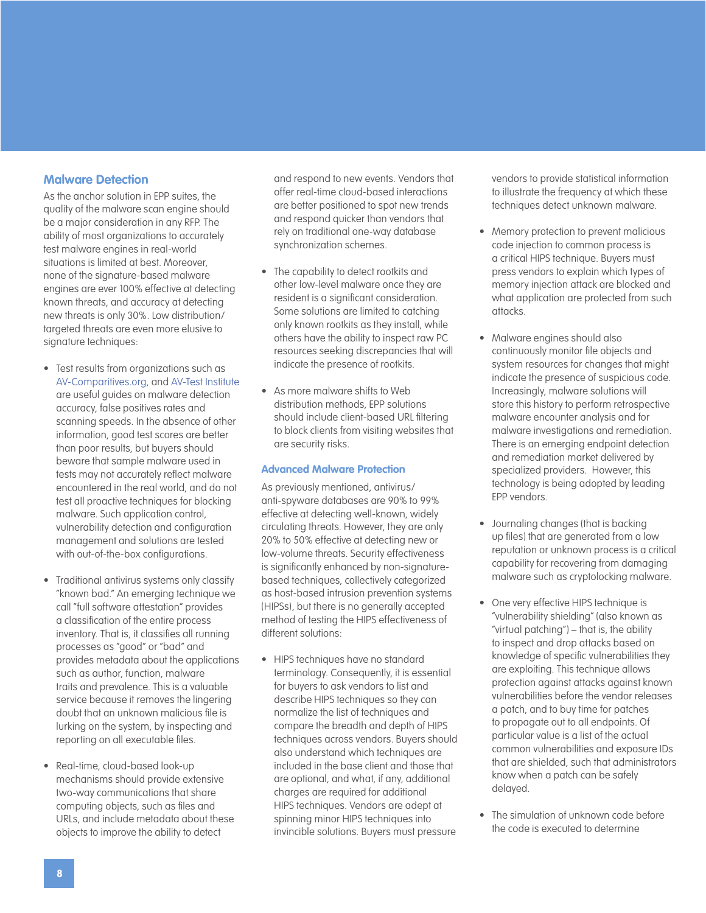#### <span id="page-7-0"></span>**Malware Detection**

As the anchor solution in EPP suites, the quality of the malware scan engine should be a major consideration in any RFP. The ability of most organizations to accurately test malware engines in real-world situations is limited at best. Moreover, none of the signature-based malware engines are ever 100% effective at detecting known threats, and accuracy at detecting new threats is only 30%. Low distribution/ targeted threats are even more elusive to signature techniques:

- Test results from organizations such as [AV-Comparitives.org](http://www.av-comparatives.org), and [AV-Test Institute](http://www.av-test.org) are useful guides on malware detection accuracy, false positives rates and scanning speeds. In the absence of other information, good test scores are better than poor results, but buyers should beware that sample malware used in tests may not accurately reflect malware encountered in the real world, and do not test all proactive techniques for blocking malware. Such application control, vulnerability detection and configuration management and solutions are tested with out-of-the-box configurations.
- Traditional antivirus systems only classify "known bad." An emerging technique we call "full software attestation" provides a classification of the entire process inventory. That is, it classifies all running processes as "good" or "bad" and provides metadata about the applications such as author, function, malware traits and prevalence. This is a valuable service because it removes the lingering doubt that an unknown malicious file is lurking on the system, by inspecting and reporting on all executable files.
- Real-time, cloud-based look-up mechanisms should provide extensive two-way communications that share computing objects, such as files and URLs, and include metadata about these objects to improve the ability to detect

and respond to new events. Vendors that offer real-time cloud-based interactions are better positioned to spot new trends and respond quicker than vendors that rely on traditional one-way database synchronization schemes.

- The capability to detect rootkits and other low-level malware once they are resident is a significant consideration. Some solutions are limited to catching only known rootkits as they install, while others have the ability to inspect raw PC resources seeking discrepancies that will indicate the presence of rootkits.
- As more malware shifts to Web distribution methods, EPP solutions should include client-based URL filtering to block clients from visiting websites that are security risks.

#### **Advanced Malware Protection**

As previously mentioned, antivirus/ anti-spyware databases are 90% to 99% effective at detecting well-known, widely circulating threats. However, they are only 20% to 50% effective at detecting new or low-volume threats. Security effectiveness is significantly enhanced by non-signaturebased techniques, collectively categorized as host-based intrusion prevention systems (HIPSs), but there is no generally accepted method of testing the HIPS effectiveness of different solutions:

• HIPS techniques have no standard terminology. Consequently, it is essential for buyers to ask vendors to list and describe HIPS techniques so they can normalize the list of techniques and compare the breadth and depth of HIPS techniques across vendors. Buyers should also understand which techniques are included in the base client and those that are optional, and what, if any, additional charges are required for additional HIPS techniques. Vendors are adept at spinning minor HIPS techniques into invincible solutions. Buyers must pressure

vendors to provide statistical information to illustrate the frequency at which these techniques detect unknown malware.

- Memory protection to prevent malicious code injection to common process is a critical HIPS technique. Buyers must press vendors to explain which types of memory injection attack are blocked and what application are protected from such attacks.
- Malware engines should also continuously monitor file objects and system resources for changes that might indicate the presence of suspicious code. Increasingly, malware solutions will store this history to perform retrospective malware encounter analysis and for malware investigations and remediation. There is an emerging endpoint detection and remediation market delivered by specialized providers. However, this technology is being adopted by leading EPP vendors.
- Journaling changes (that is backing up files) that are generated from a low reputation or unknown process is a critical capability for recovering from damaging malware such as cryptolocking malware.
- One very effective HIPS technique is "vulnerability shielding" (also known as "virtual patching") – that is, the ability to inspect and drop attacks based on knowledge of specific vulnerabilities they are exploiting. This technique allows protection against attacks against known vulnerabilities before the vendor releases a patch, and to buy time for patches to propagate out to all endpoints. Of particular value is a list of the actual common vulnerabilities and exposure IDs that are shielded, such that administrators know when a patch can be safely delayed.
- The simulation of unknown code before the code is executed to determine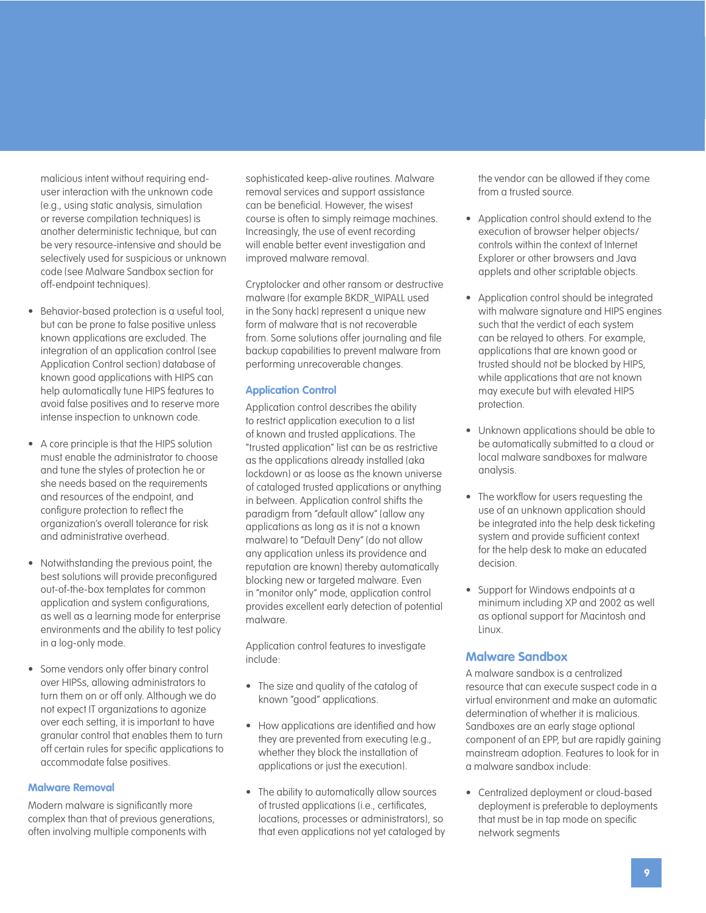malicious intent without requiring enduser interaction with the unknown code (e.g., using static analysis, simulation or reverse compilation techniques) is another deterministic technique, but can be very resource-intensive and should be selectively used for suspicious or unknown code (see Malware Sandbox section for off-endpoint techniques).

- Behavior-based protection is a useful tool, but can be prone to false positive unless known applications are excluded. The integration of an application control (see Application Control section) database of known good applications with HIPS can help automatically tune HIPS features to avoid false positives and to reserve more intense inspection to unknown code.
- A core principle is that the HIPS solution must enable the administrator to choose and tune the styles of protection he or she needs based on the requirements and resources of the endpoint, and configure protection to reflect the organization's overall tolerance for risk and administrative overhead.
- Notwithstanding the previous point, the best solutions will provide preconfigured out-of-the-box templates for common application and system configurations, as well as a learning mode for enterprise environments and the ability to test policy in a log-only mode.
- Some vendors only offer binary control over HIPSs, allowing administrators to turn them on or off only. Although we do not expect IT organizations to agonize over each setting, it is important to have granular control that enables them to turn off certain rules for specific applications to accommodate false positives.

#### **Malware Removal**

Modern malware is significantly more complex than that of previous generations, often involving multiple components with

sophisticated keep-alive routines. Malware removal services and support assistance can be beneficial. However, the wisest course is often to simply reimage machines. Increasingly, the use of event recording will enable better event investigation and improved malware removal.

Cryptolocker and other ransom or destructive malware (for example BKDR\_WIPALL used in the Sony hack) represent a unique new form of malware that is not recoverable from. Some solutions offer journaling and file backup capabilities to prevent malware from performing unrecoverable changes.

#### **Application Control**

Application control describes the ability to restrict application execution to a list of known and trusted applications. The "trusted application" list can be as restrictive as the applications already installed (aka lockdown) or as loose as the known universe of cataloged trusted applications or anything in between. Application control shifts the paradigm from "default allow" (allow any applications as long as it is not a known malware) to "Default Deny" (do not allow any application unless its providence and reputation are known) thereby automatically blocking new or targeted malware. Even in "monitor only" mode, application control provides excellent early detection of potential malware.

Application control features to investigate include:

- The size and quality of the catalog of known "good" applications.
- How applications are identified and how they are prevented from executing (e.g., whether they block the installation of applications or just the execution).
- The ability to automatically allow sources of trusted applications (i.e., certificates, locations, processes or administrators), so that even applications not yet cataloged by

the vendor can be allowed if they come from a trusted source.

- Application control should extend to the execution of browser helper objects/ controls within the context of Internet Explorer or other browsers and Java applets and other scriptable objects.
- Application control should be integrated with malware signature and HIPS engines such that the verdict of each system can be relayed to others. For example, applications that are known good or trusted should not be blocked by HIPS, while applications that are not known may execute but with elevated HIPS protection.
- Unknown applications should be able to be automatically submitted to a cloud or local malware sandboxes for malware analysis.
- The workflow for users requesting the use of an unknown application should be integrated into the help desk ticketing system and provide sufficient context for the help desk to make an educated decision.
- Support for Windows endpoints at a minimum including XP and 2002 as well as optional support for Macintosh and Linux.

#### **Malware Sandbox**

A malware sandbox is a centralized resource that can execute suspect code in a virtual environment and make an automatic determination of whether it is malicious. Sandboxes are an early stage optional component of an EPP, but are rapidly gaining mainstream adoption. Features to look for in a malware sandbox include:

• Centralized deployment or cloud-based deployment is preferable to deployments that must be in tap mode on specific network segments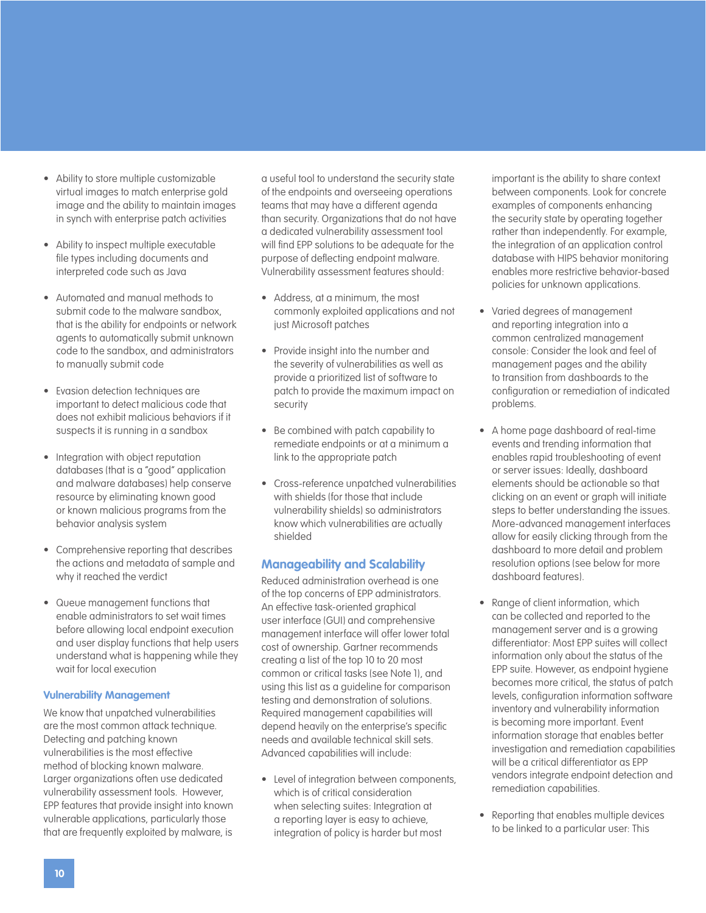- Ability to store multiple customizable virtual images to match enterprise gold image and the ability to maintain images in synch with enterprise patch activities
- Ability to inspect multiple executable file types including documents and interpreted code such as Java
- Automated and manual methods to submit code to the malware sandbox, that is the ability for endpoints or network agents to automatically submit unknown code to the sandbox, and administrators to manually submit code
- Evasion detection techniques are important to detect malicious code that does not exhibit malicious behaviors if it suspects it is running in a sandbox
- Integration with object reputation databases (that is a "good" application and malware databases) help conserve resource by eliminating known good or known malicious programs from the behavior analysis system
- Comprehensive reporting that describes the actions and metadata of sample and why it reached the verdict
- Queue management functions that enable administrators to set wait times before allowing local endpoint execution and user display functions that help users understand what is happening while they wait for local execution

#### **Vulnerability Management**

We know that unpatched vulnerabilities are the most common attack technique. Detecting and patching known vulnerabilities is the most effective method of blocking known malware. Larger organizations often use dedicated vulnerability assessment tools. However, EPP features that provide insight into known vulnerable applications, particularly those that are frequently exploited by malware, is

a useful tool to understand the security state of the endpoints and overseeing operations teams that may have a different agenda than security. Organizations that do not have a dedicated vulnerability assessment tool will find EPP solutions to be adequate for the purpose of deflecting endpoint malware. Vulnerability assessment features should:

- Address, at a minimum, the most commonly exploited applications and not just Microsoft patches
- Provide insight into the number and the severity of vulnerabilities as well as provide a prioritized list of software to patch to provide the maximum impact on security
- Be combined with patch capability to remediate endpoints or at a minimum a link to the appropriate patch
- Cross-reference unpatched vulnerabilities with shields (for those that include vulnerability shields) so administrators know which vulnerabilities are actually shielded

#### **Manageability and Scalability**

Reduced administration overhead is one of the top concerns of EPP administrators. An effective task-oriented graphical user interface (GUI) and comprehensive management interface will offer lower total cost of ownership. Gartner recommends creating a list of the top 10 to 20 most common or critical tasks (see Note 1), and using this list as a guideline for comparison testing and demonstration of solutions. Required management capabilities will depend heavily on the enterprise's specific needs and available technical skill sets. Advanced capabilities will include:

• Level of integration between components, which is of critical consideration when selecting suites: Integration at a reporting layer is easy to achieve, integration of policy is harder but most

important is the ability to share context between components. Look for concrete examples of components enhancing the security state by operating together rather than independently. For example, the integration of an application control database with HIPS behavior monitoring enables more restrictive behavior-based policies for unknown applications.

- Varied degrees of management and reporting integration into a common centralized management console: Consider the look and feel of management pages and the ability to transition from dashboards to the configuration or remediation of indicated problems.
- A home page dashboard of real-time events and trending information that enables rapid troubleshooting of event or server issues: Ideally, dashboard elements should be actionable so that clicking on an event or graph will initiate steps to better understanding the issues. More-advanced management interfaces allow for easily clicking through from the dashboard to more detail and problem resolution options (see below for more dashboard features).
- Range of client information, which can be collected and reported to the management server and is a growing differentiator: Most EPP suites will collect information only about the status of the EPP suite. However, as endpoint hygiene becomes more critical, the status of patch levels, configuration information software inventory and vulnerability information is becoming more important. Event information storage that enables better investigation and remediation capabilities will be a critical differentiator as EPP vendors integrate endpoint detection and remediation capabilities.
- Reporting that enables multiple devices to be linked to a particular user: This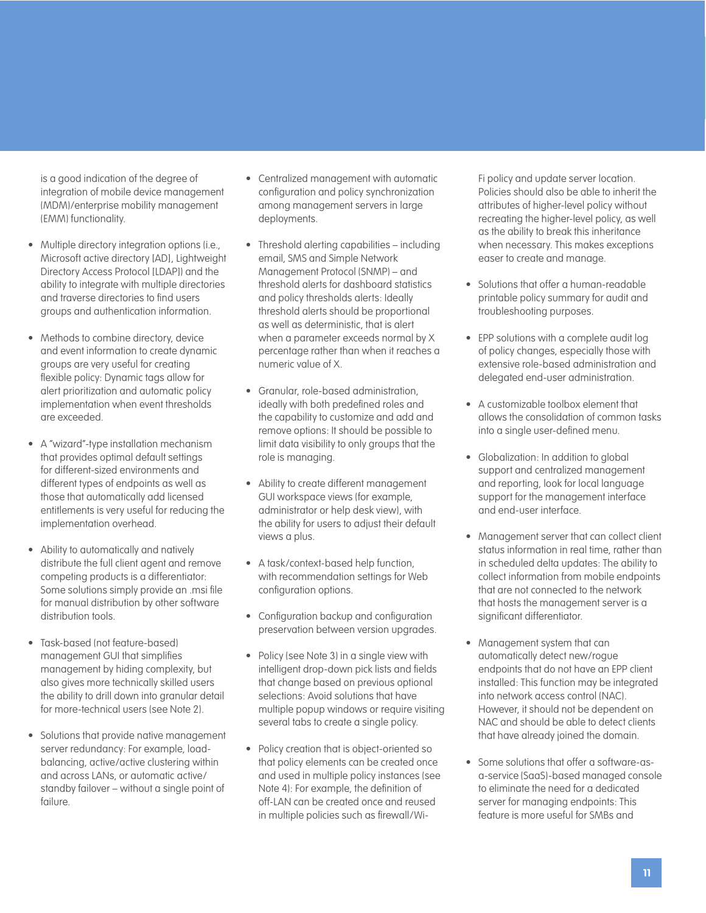is a good indication of the degree of integration of mobile device management (MDM)/enterprise mobility management (EMM) functionality.

- Multiple directory integration options (i.e., Microsoft active directory [AD], Lightweight Directory Access Protocol [LDAP]) and the ability to integrate with multiple directories and traverse directories to find users groups and authentication information.
- Methods to combine directory, device and event information to create dynamic groups are very useful for creating flexible policy: Dynamic tags allow for alert prioritization and automatic policy implementation when event thresholds are exceeded.
- A "wizard"-type installation mechanism that provides optimal default settings for different-sized environments and different types of endpoints as well as those that automatically add licensed entitlements is very useful for reducing the implementation overhead.
- Ability to automatically and natively distribute the full client agent and remove competing products is a differentiator: Some solutions simply provide an .msi file for manual distribution by other software distribution tools.
- Task-based (not feature-based) management GUI that simplifies management by hiding complexity, but also gives more technically skilled users the ability to drill down into granular detail for more-technical users (see Note 2).
- Solutions that provide native management server redundancy: For example, loadbalancing, active/active clustering within and across LANs, or automatic active/ standby failover – without a single point of failure.
- Centralized management with automatic configuration and policy synchronization among management servers in large deployments.
- Threshold alerting capabilities including email, SMS and Simple Network Management Protocol (SNMP) – and threshold alerts for dashboard statistics and policy thresholds alerts: Ideally threshold alerts should be proportional as well as deterministic, that is alert when a parameter exceeds normal by X percentage rather than when it reaches a numeric value of X.
- Granular, role-based administration, ideally with both predefined roles and the capability to customize and add and remove options: It should be possible to limit data visibility to only groups that the role is managing.
- Ability to create different management GUI workspace views (for example, administrator or help desk view), with the ability for users to adjust their default views a plus.
- A task/context-based help function, with recommendation settings for Web configuration options.
- Configuration backup and configuration preservation between version upgrades.
- Policy (see Note 3) in a single view with intelligent drop-down pick lists and fields that change based on previous optional selections: Avoid solutions that have multiple popup windows or require visiting several tabs to create a single policy.
- Policy creation that is object-oriented so that policy elements can be created once and used in multiple policy instances (see Note 4): For example, the definition of off-LAN can be created once and reused in multiple policies such as firewall/Wi-

Fi policy and update server location. Policies should also be able to inherit the attributes of higher-level policy without recreating the higher-level policy, as well as the ability to break this inheritance when necessary. This makes exceptions easer to create and manage.

- Solutions that offer a human-readable printable policy summary for audit and troubleshooting purposes.
- EPP solutions with a complete audit log of policy changes, especially those with extensive role-based administration and delegated end-user administration.
- A customizable toolbox element that allows the consolidation of common tasks into a single user-defined menu.
- Globalization: In addition to global support and centralized management and reporting, look for local language support for the management interface and end-user interface.
- Management server that can collect client status information in real time, rather than in scheduled delta updates: The ability to collect information from mobile endpoints that are not connected to the network that hosts the management server is a significant differentiator.
- Management system that can automatically detect new/rogue endpoints that do not have an EPP client installed: This function may be integrated into network access control (NAC). However, it should not be dependent on NAC and should be able to detect clients that have already joined the domain.
- Some solutions that offer a software-asa-service (SaaS)-based managed console to eliminate the need for a dedicated server for managing endpoints: This feature is more useful for SMBs and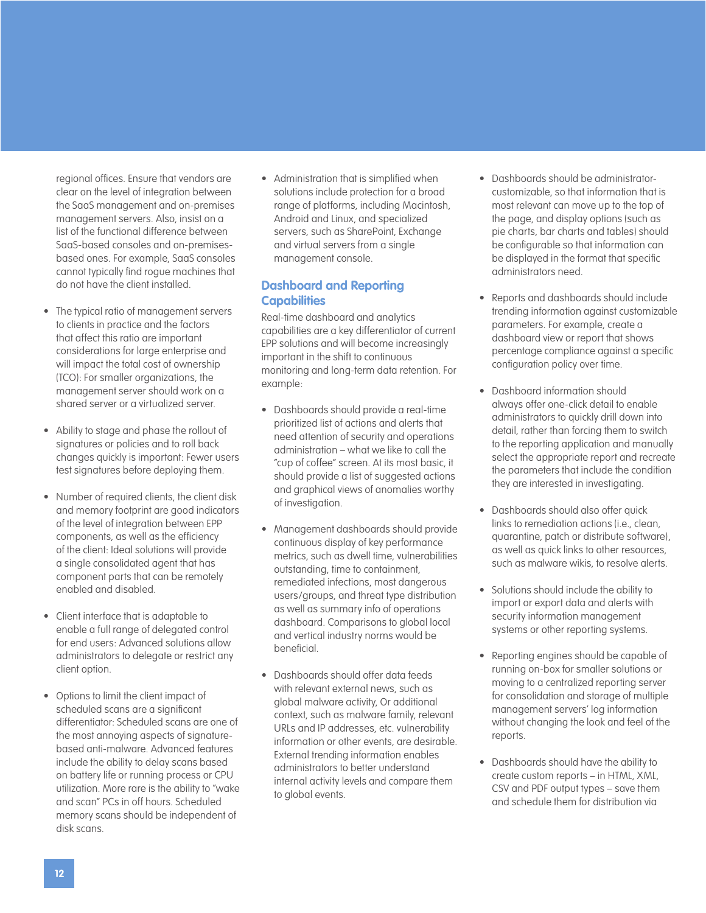regional offices. Ensure that vendors are clear on the level of integration between the SaaS management and on-premises management servers. Also, insist on a list of the functional difference between SaaS-based consoles and on-premisesbased ones. For example, SaaS consoles cannot typically find rogue machines that do not have the client installed.

- The typical ratio of management servers to clients in practice and the factors that affect this ratio are important considerations for large enterprise and will impact the total cost of ownership (TCO): For smaller organizations, the management server should work on a shared server or a virtualized server.
- Ability to stage and phase the rollout of signatures or policies and to roll back changes quickly is important: Fewer users test signatures before deploying them.
- Number of required clients, the client disk and memory footprint are good indicators of the level of integration between EPP components, as well as the efficiency of the client: Ideal solutions will provide a single consolidated agent that has component parts that can be remotely enabled and disabled.
- Client interface that is adaptable to enable a full range of delegated control for end users: Advanced solutions allow administrators to delegate or restrict any client option.
- Options to limit the client impact of scheduled scans are a significant differentiator: Scheduled scans are one of the most annoying aspects of signaturebased anti-malware. Advanced features include the ability to delay scans based on battery life or running process or CPU utilization. More rare is the ability to "wake and scan" PCs in off hours. Scheduled memory scans should be independent of disk scans.

• Administration that is simplified when solutions include protection for a broad range of platforms, including Macintosh, Android and Linux, and specialized servers, such as SharePoint, Exchange and virtual servers from a single management console.

#### **Dashboard and Reporting Capabilities**

Real-time dashboard and analytics capabilities are a key differentiator of current EPP solutions and will become increasingly important in the shift to continuous monitoring and long-term data retention. For example:

- Dashboards should provide a real-time prioritized list of actions and alerts that need attention of security and operations administration – what we like to call the "cup of coffee" screen. At its most basic, it should provide a list of suggested actions and graphical views of anomalies worthy of investigation.
- Management dashboards should provide continuous display of key performance metrics, such as dwell time, vulnerabilities outstanding, time to containment, remediated infections, most dangerous users/groups, and threat type distribution as well as summary info of operations dashboard. Comparisons to global local and vertical industry norms would be beneficial.
- Dashboards should offer data feeds with relevant external news, such as global malware activity, Or additional context, such as malware family, relevant URLs and IP addresses, etc. vulnerability information or other events, are desirable. External trending information enables administrators to better understand internal activity levels and compare them to global events.
- Dashboards should be administratorcustomizable, so that information that is most relevant can move up to the top of the page, and display options (such as pie charts, bar charts and tables) should be configurable so that information can be displayed in the format that specific administrators need.
- Reports and dashboards should include trending information against customizable parameters. For example, create a dashboard view or report that shows percentage compliance against a specific configuration policy over time.
- Dashboard information should always offer one-click detail to enable administrators to quickly drill down into detail, rather than forcing them to switch to the reporting application and manually select the appropriate report and recreate the parameters that include the condition they are interested in investigating.
- Dashboards should also offer quick links to remediation actions (i.e., clean, quarantine, patch or distribute software), as well as quick links to other resources, such as malware wikis, to resolve alerts.
- Solutions should include the ability to import or export data and alerts with security information management systems or other reporting systems.
- Reporting engines should be capable of running on-box for smaller solutions or moving to a centralized reporting server for consolidation and storage of multiple management servers' log information without changing the look and feel of the reports.
- Dashboards should have the ability to create custom reports – in HTML, XML, CSV and PDF output types – save them and schedule them for distribution via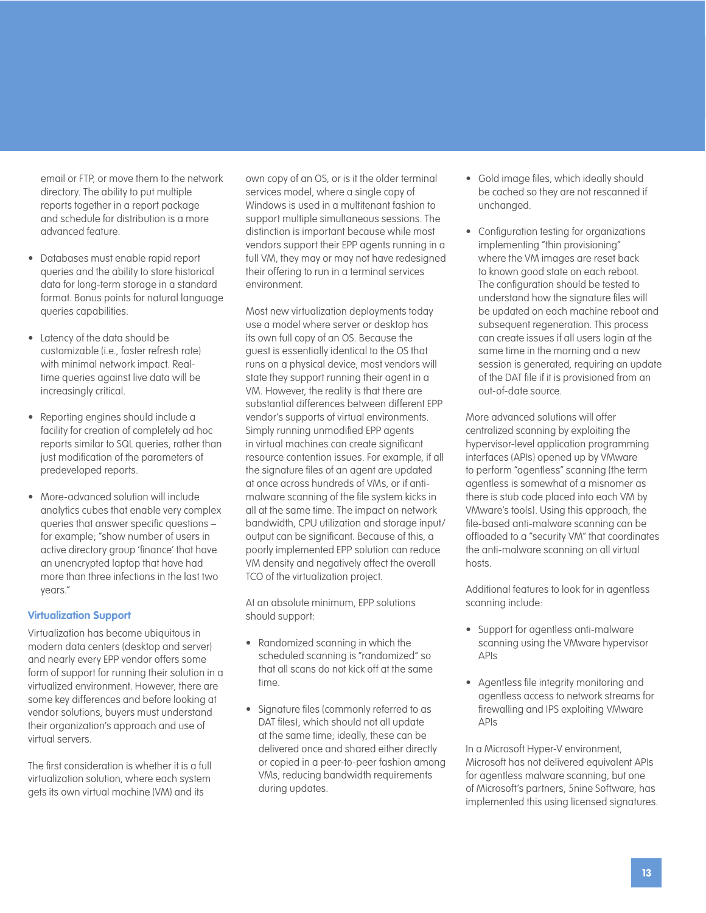email or FTP, or move them to the network directory. The ability to put multiple reports together in a report package and schedule for distribution is a more advanced feature.

- Databases must enable rapid report queries and the ability to store historical data for long-term storage in a standard format. Bonus points for natural language queries capabilities.
- Latency of the data should be customizable (i.e., faster refresh rate) with minimal network impact. Realtime queries against live data will be increasingly critical.
- Reporting engines should include a facility for creation of completely ad hoc reports similar to SQL queries, rather than just modification of the parameters of predeveloped reports.
- More-advanced solution will include analytics cubes that enable very complex queries that answer specific questions – for example; "show number of users in active directory group 'finance' that have an unencrypted laptop that have had more than three infections in the last two years."

#### **Virtualization Support**

Virtualization has become ubiquitous in modern data centers (desktop and server) and nearly every EPP vendor offers some form of support for running their solution in a virtualized environment. However, there are some key differences and before looking at vendor solutions, buyers must understand their organization's approach and use of virtual servers.

The first consideration is whether it is a full virtualization solution, where each system gets its own virtual machine (VM) and its

own copy of an OS, or is it the older terminal services model, where a single copy of Windows is used in a multitenant fashion to support multiple simultaneous sessions. The distinction is important because while most vendors support their EPP agents running in a full VM, they may or may not have redesigned their offering to run in a terminal services environment.

Most new virtualization deployments today use a model where server or desktop has its own full copy of an OS. Because the guest is essentially identical to the OS that runs on a physical device, most vendors will state they support running their agent in a VM. However, the reality is that there are substantial differences between different EPP vendor's supports of virtual environments. Simply running unmodified EPP agents in virtual machines can create significant resource contention issues. For example, if all the signature files of an agent are updated at once across hundreds of VMs, or if antimalware scanning of the file system kicks in all at the same time. The impact on network bandwidth, CPU utilization and storage input/ output can be significant. Because of this, a poorly implemented EPP solution can reduce VM density and negatively affect the overall TCO of the virtualization project.

At an absolute minimum, EPP solutions should support:

- Randomized scanning in which the scheduled scanning is "randomized" so that all scans do not kick off at the same time.
- Signature files (commonly referred to as DAT files), which should not all update at the same time; ideally, these can be delivered once and shared either directly or copied in a peer-to-peer fashion among VMs, reducing bandwidth requirements during updates.
- Gold image files, which ideally should be cached so they are not rescanned if unchanged.
- Configuration testing for organizations implementing "thin provisioning" where the VM images are reset back to known good state on each reboot. The configuration should be tested to understand how the signature files will be updated on each machine reboot and subsequent regeneration. This process can create issues if all users login at the same time in the morning and a new session is generated, requiring an update of the DAT file if it is provisioned from an out-of-date source.

More advanced solutions will offer centralized scanning by exploiting the hypervisor-level application programming interfaces (APIs) opened up by VMware to perform "agentless" scanning (the term agentless is somewhat of a misnomer as there is stub code placed into each VM by VMware's tools). Using this approach, the file-based anti-malware scanning can be offloaded to a "security VM" that coordinates the anti-malware scanning on all virtual hosts.

Additional features to look for in agentless scanning include:

- Support for agentless anti-malware scanning using the VMware hypervisor APIs
- Agentless file integrity monitoring and agentless access to network streams for firewalling and IPS exploiting VMware APIs

In a Microsoft Hyper-V environment, Microsoft has not delivered equivalent APIs for agentless malware scanning, but one of Microsoft's partners, 5nine Software, has implemented this using licensed signatures.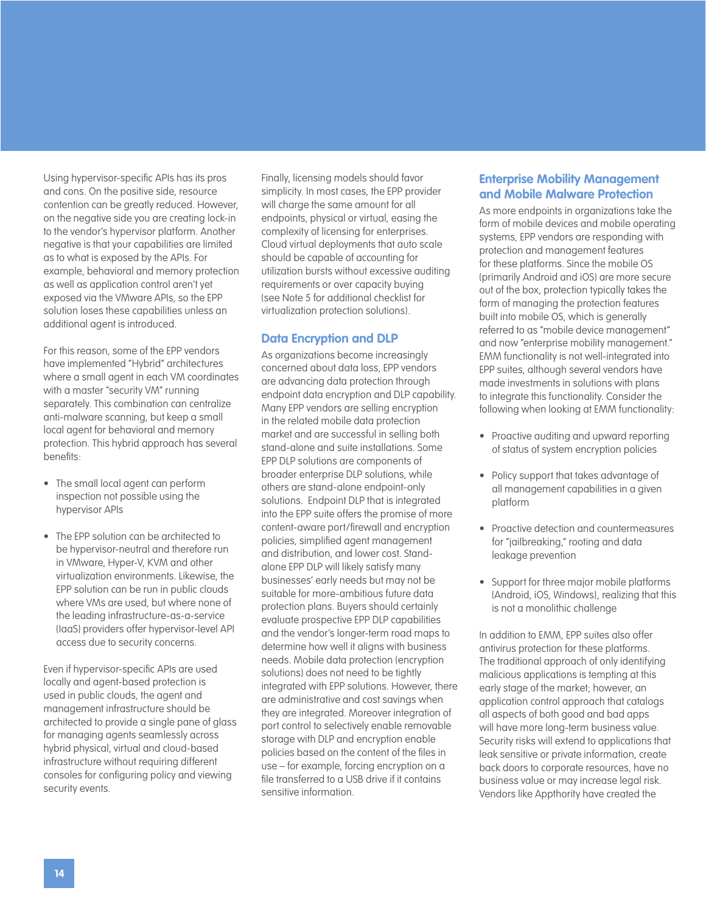Using hypervisor-specific APIs has its pros and cons. On the positive side, resource contention can be greatly reduced. However, on the negative side you are creating lock-in to the vendor's hypervisor platform. Another negative is that your capabilities are limited as to what is exposed by the APIs. For example, behavioral and memory protection as well as application control aren't yet exposed via the VMware APIs, so the EPP solution loses these capabilities unless an additional agent is introduced.

For this reason, some of the EPP vendors have implemented "Hybrid" architectures where a small agent in each VM coordinates with a master "security VM" running separately. This combination can centralize anti-malware scanning, but keep a small local agent for behavioral and memory protection. This hybrid approach has several benefits:

- The small local agent can perform inspection not possible using the hypervisor APIs
- The EPP solution can be architected to be hypervisor-neutral and therefore run in VMware, Hyper-V, KVM and other virtualization environments. Likewise, the EPP solution can be run in public clouds where VMs are used, but where none of the leading infrastructure-as-a-service (IaaS) providers offer hypervisor-level API access due to security concerns.

Even if hypervisor-specific APIs are used locally and agent-based protection is used in public clouds, the agent and management infrastructure should be architected to provide a single pane of glass for managing agents seamlessly across hybrid physical, virtual and cloud-based infrastructure without requiring different consoles for configuring policy and viewing security events.

Finally, licensing models should favor simplicity. In most cases, the EPP provider will charge the same amount for all endpoints, physical or virtual, easing the complexity of licensing for enterprises. Cloud virtual deployments that auto scale should be capable of accounting for utilization bursts without excessive auditing requirements or over capacity buying (see Note 5 for additional checklist for virtualization protection solutions).

#### **Data Encryption and DLP**

As organizations become increasingly concerned about data loss, EPP vendors are advancing data protection through endpoint data encryption and DLP capability. Many EPP vendors are selling encryption in the related mobile data protection market and are successful in selling both stand-alone and suite installations. Some EPP DLP solutions are components of broader enterprise DLP solutions, while others are stand-alone endpoint-only solutions. Endpoint DLP that is integrated into the EPP suite offers the promise of more content-aware port/firewall and encryption policies, simplified agent management and distribution, and lower cost. Standalone EPP DLP will likely satisfy many businesses' early needs but may not be suitable for more-ambitious future data protection plans. Buyers should certainly evaluate prospective EPP DLP capabilities and the vendor's longer-term road maps to determine how well it aligns with business needs. Mobile data protection (encryption solutions) does not need to be tightly integrated with EPP solutions. However, there are administrative and cost savings when they are integrated. Moreover integration of port control to selectively enable removable storage with DLP and encryption enable policies based on the content of the files in use – for example, forcing encryption on a file transferred to a USB drive if it contains sensitive information.

#### **Enterprise Mobility Management and Mobile Malware Protection**

As more endpoints in organizations take the form of mobile devices and mobile operating systems, EPP vendors are responding with protection and management features for these platforms. Since the mobile OS (primarily Android and iOS) are more secure out of the box, protection typically takes the form of managing the protection features built into mobile OS, which is generally referred to as "mobile device management" and now "enterprise mobility management." EMM functionality is not well-integrated into EPP suites, although several vendors have made investments in solutions with plans to integrate this functionality. Consider the following when looking at EMM functionality:

- Proactive auditing and upward reporting of status of system encryption policies
- Policy support that takes advantage of all management capabilities in a given platform
- Proactive detection and countermeasures for "jailbreaking," rooting and data leakage prevention
- Support for three major mobile platforms (Android, iOS, Windows), realizing that this is not a monolithic challenge

In addition to EMM, EPP suites also offer antivirus protection for these platforms. The traditional approach of only identifying malicious applications is tempting at this early stage of the market; however, an application control approach that catalogs all aspects of both good and bad apps will have more long-term business value. Security risks will extend to applications that leak sensitive or private information, create back doors to corporate resources, have no business value or may increase legal risk. Vendors like Appthority have created the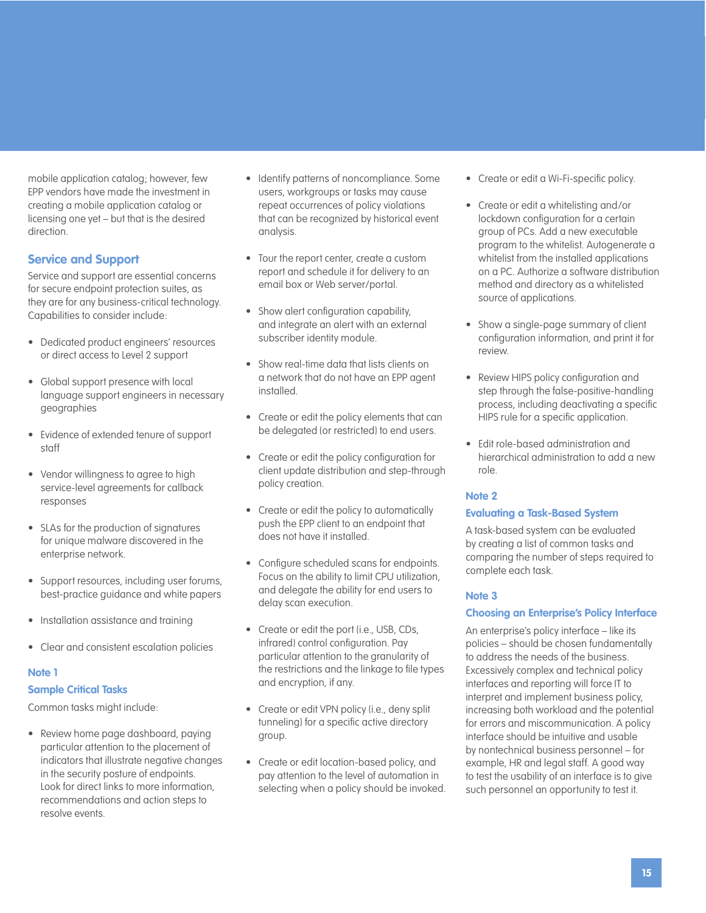mobile application catalog; however, few EPP vendors have made the investment in creating a mobile application catalog or licensing one yet – but that is the desired direction.

#### **Service and Support**

Service and support are essential concerns for secure endpoint protection suites, as they are for any business-critical technology. Capabilities to consider include:

- Dedicated product engineers' resources or direct access to Level 2 support
- Global support presence with local language support engineers in necessary geographies
- Evidence of extended tenure of support staff
- Vendor willingness to agree to high service-level agreements for callback responses
- SLAs for the production of signatures for unique malware discovered in the enterprise network.
- Support resources, including user forums, best-practice guidance and white papers
- Installation assistance and training
- Clear and consistent escalation policies

#### **Note 1**

#### **Sample Critical Tasks**

Common tasks might include:

• Review home page dashboard, paying particular attention to the placement of indicators that illustrate negative changes in the security posture of endpoints. Look for direct links to more information, recommendations and action steps to resolve events.

- Identify patterns of noncompliance. Some users, workgroups or tasks may cause repeat occurrences of policy violations that can be recognized by historical event analysis.
- Tour the report center, create a custom report and schedule it for delivery to an email box or Web server/portal.
- Show alert configuration capability, and integrate an alert with an external subscriber identity module.
- Show real-time data that lists clients on a network that do not have an EPP agent installed.
- Create or edit the policy elements that can be delegated (or restricted) to end users.
- Create or edit the policy configuration for client update distribution and step-through policy creation.
- Create or edit the policy to automatically push the EPP client to an endpoint that does not have it installed.
- Configure scheduled scans for endpoints. Focus on the ability to limit CPU utilization, and delegate the ability for end users to delay scan execution.
- Create or edit the port (i.e., USB, CDs, infrared) control configuration. Pay particular attention to the granularity of the restrictions and the linkage to file types and encryption, if any.
- Create or edit VPN policy (i.e., deny split tunneling) for a specific active directory group.
- Create or edit location-based policy, and pay attention to the level of automation in selecting when a policy should be invoked.
- Create or edit a Wi-Fi-specific policy.
- Create or edit a whitelisting and/or lockdown configuration for a certain group of PCs. Add a new executable program to the whitelist. Autogenerate a whitelist from the installed applications on a PC. Authorize a software distribution method and directory as a whitelisted source of applications.
- Show a single-page summary of client configuration information, and print it for review.
- Review HIPS policy configuration and step through the false-positive-handling process, including deactivating a specific HIPS rule for a specific application.
- Edit role-based administration and hierarchical administration to add a new role.

#### **Note 2**

#### **Evaluating a Task-Based System**

A task-based system can be evaluated by creating a list of common tasks and comparing the number of steps required to complete each task.

#### **Note 3**

#### **Choosing an Enterprise's Policy Interface**

An enterprise's policy interface – like its policies – should be chosen fundamentally to address the needs of the business. Excessively complex and technical policy interfaces and reporting will force IT to interpret and implement business policy, increasing both workload and the potential for errors and miscommunication. A policy interface should be intuitive and usable by nontechnical business personnel – for example, HR and legal staff. A good way to test the usability of an interface is to give such personnel an opportunity to test it.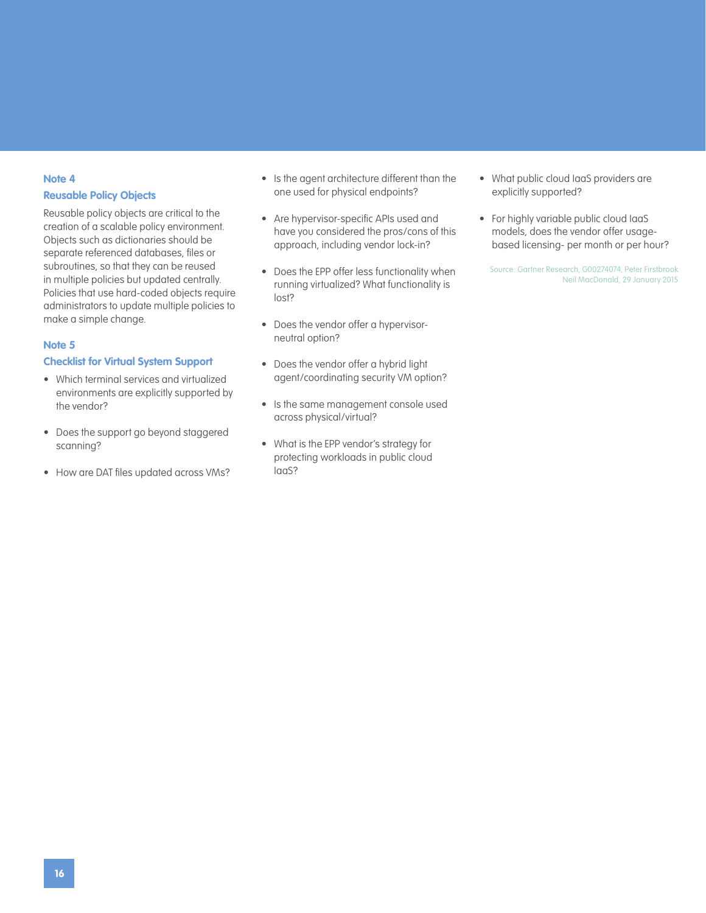#### **Note 4**

#### **Reusable Policy Objects**

Reusable policy objects are critical to the creation of a scalable policy environment. Objects such as dictionaries should be separate referenced databases, files or subroutines, so that they can be reused in multiple policies but updated centrally. Policies that use hard-coded objects require administrators to update multiple policies to make a simple change.

#### **Note 5**

#### **Checklist for Virtual System Support**

- Which terminal services and virtualized environments are explicitly supported by the vendor?
- Does the support go beyond staggered scanning?
- How are DAT files updated across VMs?
- Is the agent architecture different than the one used for physical endpoints?
- Are hypervisor-specific APIs used and have you considered the pros/cons of this approach, including vendor lock-in?
- Does the EPP offer less functionality when running virtualized? What functionality is lost?
- Does the vendor offer a hypervisorneutral option?
- Does the vendor offer a hybrid light agent/coordinating security VM option?
- Is the same management console used across physical/virtual?
- What is the EPP vendor's strategy for protecting workloads in public cloud IaaS?
- What public cloud IaaS providers are explicitly supported?
- For highly variable public cloud IaaS models, does the vendor offer usagebased licensing- per month or per hour?

Source: Gartner Research, G00274074, Peter Firstbrook Neil MacDonald, 29 January 2015